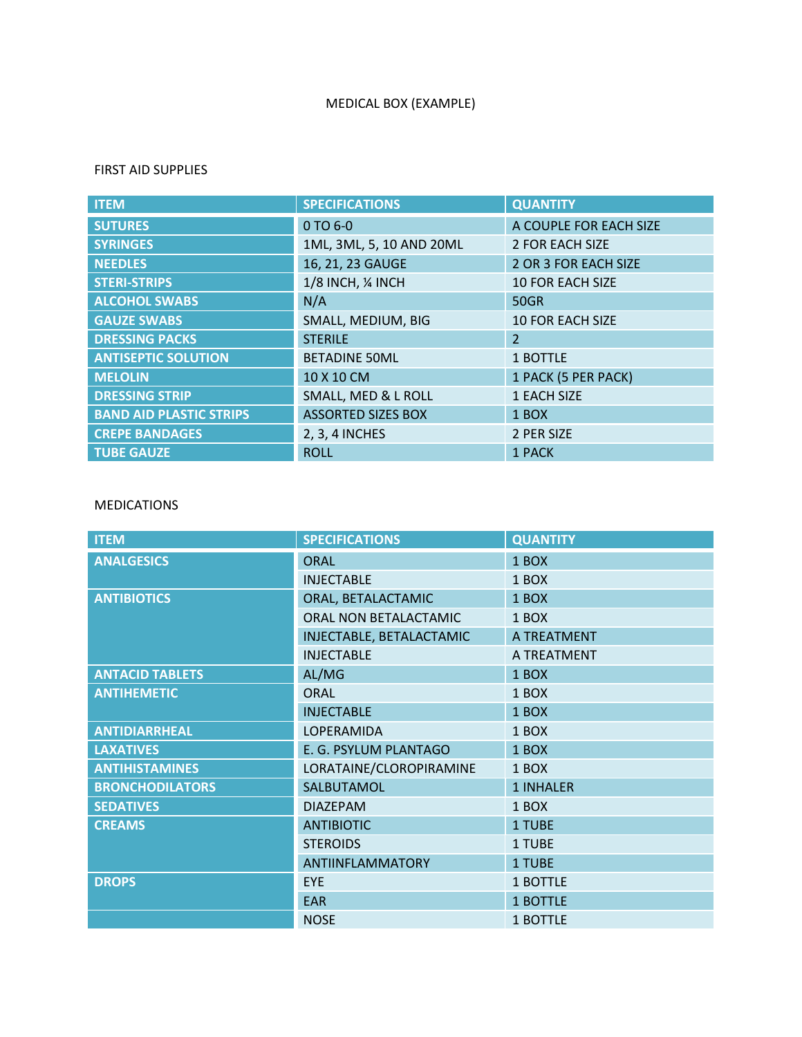# MEDICAL BOX (EXAMPLE)

#### FIRST AID SUPPLIES

| <b>ITEM</b>                    | <b>SPECIFICATIONS</b>     | <b>QUANTITY</b>         |
|--------------------------------|---------------------------|-------------------------|
| <b>SUTURES</b>                 | 0 TO 6-0                  | A COUPLE FOR EACH SIZE  |
| <b>SYRINGES</b>                | 1ML, 3ML, 5, 10 AND 20ML  | 2 FOR EACH SIZE         |
| <b>NEEDLES</b>                 | 16, 21, 23 GAUGE          | 2 OR 3 FOR EACH SIZE    |
| <b>STERI-STRIPS</b>            | 1/8 INCH, 1/4 INCH        | <b>10 FOR EACH SIZE</b> |
| <b>ALCOHOL SWABS</b>           | N/A                       | <b>50GR</b>             |
| <b>GAUZE SWABS</b>             | SMALL, MEDIUM, BIG        | <b>10 FOR EACH SIZE</b> |
| <b>DRESSING PACKS</b>          | <b>STERILE</b>            | $\overline{2}$          |
| <b>ANTISEPTIC SOLUTION</b>     | <b>BETADINE 50ML</b>      | 1 BOTTLE                |
| <b>MELOLIN</b>                 | 10 X 10 CM                | 1 PACK (5 PER PACK)     |
| <b>DRESSING STRIP</b>          | SMALL, MED & L ROLL       | 1 EACH SIZE             |
| <b>BAND AID PLASTIC STRIPS</b> | <b>ASSORTED SIZES BOX</b> | 1 BOX                   |
| <b>CREPE BANDAGES</b>          | 2, 3, 4 INCHES            | 2 PER SIZE              |
| <b>TUBE GAUZE</b>              | <b>ROLL</b>               | 1 PACK                  |

## MEDICATIONS

| <b>ITEM</b>            | <b>SPECIFICATIONS</b>    | <b>QUANTITY</b> |
|------------------------|--------------------------|-----------------|
| <b>ANALGESICS</b>      | <b>ORAL</b>              | 1 BOX           |
|                        | <b>INJECTABLE</b>        | 1 BOX           |
| <b>ANTIBIOTICS</b>     | ORAL, BETALACTAMIC       | 1 BOX           |
|                        | ORAL NON BETALACTAMIC    | 1 BOX           |
|                        | INJECTABLE, BETALACTAMIC | A TREATMENT     |
|                        | <b>INJECTABLE</b>        | A TREATMENT     |
| <b>ANTACID TABLETS</b> | AL/MG                    | 1 BOX           |
| <b>ANTIHEMETIC</b>     | <b>ORAL</b>              | 1 BOX           |
|                        | <b>INJECTABLE</b>        | 1 BOX           |
| <b>ANTIDIARRHEAL</b>   | LOPERAMIDA               | 1 BOX           |
| <b>LAXATIVES</b>       | E. G. PSYLUM PLANTAGO    | 1 BOX           |
| <b>ANTIHISTAMINES</b>  | LORATAINE/CLOROPIRAMINE  | 1 BOX           |
| <b>BRONCHODILATORS</b> | SALBUTAMOL               | 1 INHALER       |
| <b>SEDATIVES</b>       | <b>DIAZEPAM</b>          | 1 BOX           |
| <b>CREAMS</b>          | <b>ANTIBIOTIC</b>        | 1 TUBE          |
|                        | <b>STEROIDS</b>          | 1 TUBE          |
|                        | <b>ANTIINFLAMMATORY</b>  | 1 TUBE          |
| <b>DROPS</b>           | EYE                      | 1 BOTTLE        |
|                        | <b>EAR</b>               | 1 BOTTLE        |
|                        | <b>NOSE</b>              | 1 BOTTLE        |